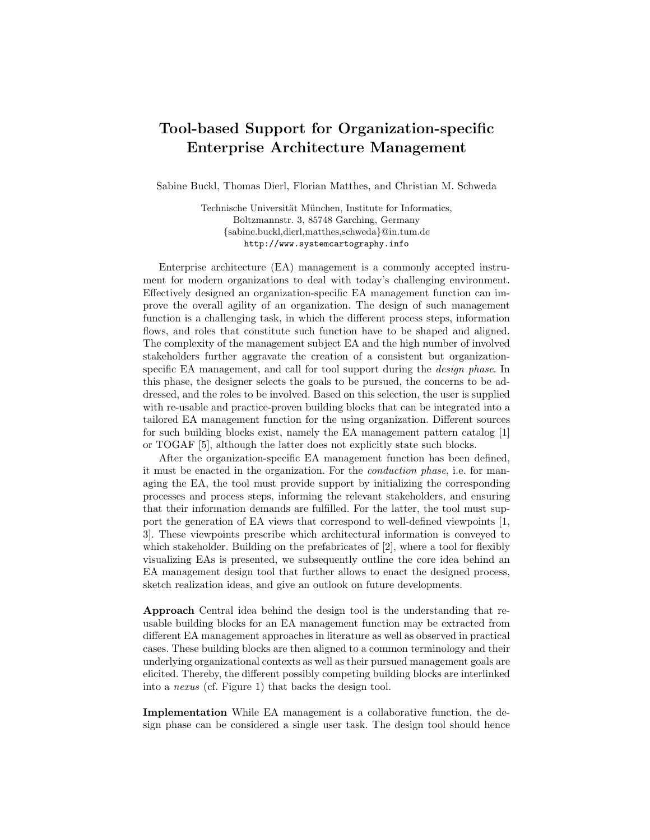## Tool-based Support for Organization-specific Enterprise Architecture Management

Sabine Buckl, Thomas Dierl, Florian Matthes, and Christian M. Schweda

Technische Universität München, Institute for Informatics, Boltzmannstr. 3, 85748 Garching, Germany {sabine.buckl,dierl,matthes,schweda}@in.tum.de http://www.systemcartography.info

Enterprise architecture (EA) management is a commonly accepted instrument for modern organizations to deal with today's challenging environment. Effectively designed an organization-specific EA management function can improve the overall agility of an organization. The design of such management function is a challenging task, in which the different process steps, information flows, and roles that constitute such function have to be shaped and aligned. The complexity of the management subject EA and the high number of involved stakeholders further aggravate the creation of a consistent but organizationspecific EA management, and call for tool support during the *design phase*. In this phase, the designer selects the goals to be pursued, the concerns to be addressed, and the roles to be involved. Based on this selection, the user is supplied with re-usable and practice-proven building blocks that can be integrated into a tailored EA management function for the using organization. Different sources for such building blocks exist, namely the EA management pattern catalog [1] or TOGAF [5], although the latter does not explicitly state such blocks.

After the organization-specific EA management function has been defined, it must be enacted in the organization. For the conduction phase, i.e. for managing the EA, the tool must provide support by initializing the corresponding processes and process steps, informing the relevant stakeholders, and ensuring that their information demands are fulfilled. For the latter, the tool must support the generation of EA views that correspond to well-defined viewpoints [1, 3]. These viewpoints prescribe which architectural information is conveyed to which stakeholder. Building on the prefabricates of [2], where a tool for flexibly visualizing EAs is presented, we subsequently outline the core idea behind an EA management design tool that further allows to enact the designed process, sketch realization ideas, and give an outlook on future developments.

Approach Central idea behind the design tool is the understanding that reusable building blocks for an EA management function may be extracted from different EA management approaches in literature as well as observed in practical cases. These building blocks are then aligned to a common terminology and their underlying organizational contexts as well as their pursued management goals are elicited. Thereby, the different possibly competing building blocks are interlinked into a nexus (cf. Figure 1) that backs the design tool.

Implementation While EA management is a collaborative function, the design phase can be considered a single user task. The design tool should hence